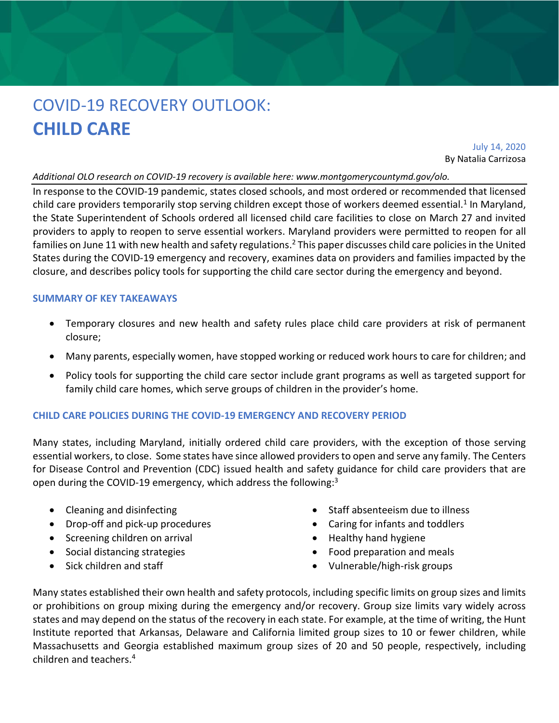# COVID-19 RECOVERY OUTLOOK: **CHILD CARE**

July 14, 2020 By Natalia Carrizosa

### *Additional OLO research on COVID-19 recovery is available here: www.montgomerycountymd.gov/olo.*

In response to the COVID-19 pandemic, states closed schools, and most ordered or recommended that licensed child care providers temporarily stop serving children except those of workers deemed essential.<sup>1</sup> In Maryland, the State Superintendent of Schools ordered all licensed child care facilities to close on March 27 and invited providers to apply to reopen to serve essential workers. Maryland providers were permitted to reopen for all families on June 11 with new health and safety regulations.<sup>2</sup> This paper discusses child care policies in the United States during the COVID-19 emergency and recovery, examines data on providers and families impacted by the closure, and describes policy tools for supporting the child care sector during the emergency and beyond.

### **SUMMARY OF KEY TAKEAWAYS**

- Temporary closures and new health and safety rules place child care providers at risk of permanent closure;
- Many parents, especially women, have stopped working or reduced work hours to care for children; and
- Policy tools for supporting the child care sector include grant programs as well as targeted support for family child care homes, which serve groups of children in the provider's home.

# **CHILD CARE POLICIES DURING THE COVID-19 EMERGENCY AND RECOVERY PERIOD**

Many states, including Maryland, initially ordered child care providers, with the exception of those serving essential workers, to close. Some states have since allowed providers to open and serve any family. The Centers for Disease Control and Prevention (CDC) issued health and safety guidance for child care providers that are open during the COVID-19 emergency, which address the following:<sup>3</sup>

- Cleaning and disinfecting
- Drop-off and pick-up procedures
- Screening children on arrival
- Social distancing strategies
- Sick children and staff
- Staff absenteeism due to illness
- Caring for infants and toddlers
- Healthy hand hygiene
- Food preparation and meals
- Vulnerable/high-risk groups

Many states established their own health and safety protocols, including specific limits on group sizes and limits or prohibitions on group mixing during the emergency and/or recovery. Group size limits vary widely across states and may depend on the status of the recovery in each state. For example, at the time of writing, the Hunt Institute reported that Arkansas, Delaware and California limited group sizes to 10 or fewer children, while Massachusetts and Georgia established maximum group sizes of 20 and 50 people, respectively, including children and teachers. 4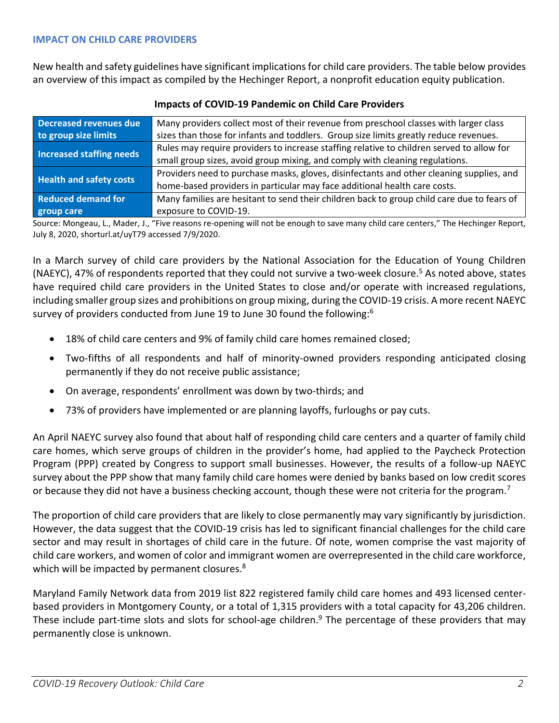New health and safety guidelines have significant implications for child care providers. The table below provides an overview of this impact as compiled by the Hechinger Report, a nonprofit education equity publication.

| <b>Decreased revenues due</b>   | Many providers collect most of their revenue from preschool classes with larger class      |
|---------------------------------|--------------------------------------------------------------------------------------------|
| to group size limits            | sizes than those for infants and toddlers. Group size limits greatly reduce revenues.      |
| <b>Increased staffing needs</b> | Rules may require providers to increase staffing relative to children served to allow for  |
|                                 | small group sizes, avoid group mixing, and comply with cleaning regulations.               |
| <b>Health and safety costs</b>  | Providers need to purchase masks, gloves, disinfectants and other cleaning supplies, and   |
|                                 | home-based providers in particular may face additional health care costs.                  |
| <b>Reduced demand for</b>       | Many families are hesitant to send their children back to group child care due to fears of |
| group care                      | exposure to COVID-19.                                                                      |

# **Impacts of COVID-19 Pandemic on Child Care Providers**

Source: Mongeau, L., Mader, J., "Five reasons re-opening will not be enough to save many child care centers," The Hechinger Report, July 8, 2020, shorturl.at/uyT79 accessed 7/9/2020.

In a March survey of child care providers by the National Association for the Education of Young Children (NAEYC), 47% of respondents reported that they could not survive a two-week closure. <sup>5</sup> As noted above, states have required child care providers in the United States to close and/or operate with increased regulations, including smaller group sizes and prohibitions on group mixing, during the COVID-19 crisis. A more recent NAEYC survey of providers conducted from June 19 to June 30 found the following:<sup>6</sup>

- 18% of child care centers and 9% of family child care homes remained closed;
- Two-fifths of all respondents and half of minority-owned providers responding anticipated closing permanently if they do not receive public assistance;
- On average, respondents' enrollment was down by two-thirds; and
- 73% of providers have implemented or are planning layoffs, furloughs or pay cuts.

An April NAEYC survey also found that about half of responding child care centers and a quarter of family child care homes, which serve groups of children in the provider's home, had applied to the Paycheck Protection Program (PPP) created by Congress to support small businesses. However, the results of a follow-up NAEYC survey about the PPP show that many family child care homes were denied by banks based on low credit scores or because they did not have a business checking account, though these were not criteria for the program.<sup>7</sup>

The proportion of child care providers that are likely to close permanently may vary significantly by jurisdiction. However, the data suggest that the COVID-19 crisis has led to significant financial challenges for the child care sector and may result in shortages of child care in the future. Of note, women comprise the vast majority of child care workers, and women of color and immigrant women are overrepresented in the child care workforce, which will be impacted by permanent closures.<sup>8</sup>

Maryland Family Network data from 2019 list 822 registered family child care homes and 493 licensed centerbased providers in Montgomery County, or a total of 1,315 providers with a total capacity for 43,206 children. These include part-time slots and slots for school-age children.<sup>9</sup> The percentage of these providers that may permanently close is unknown.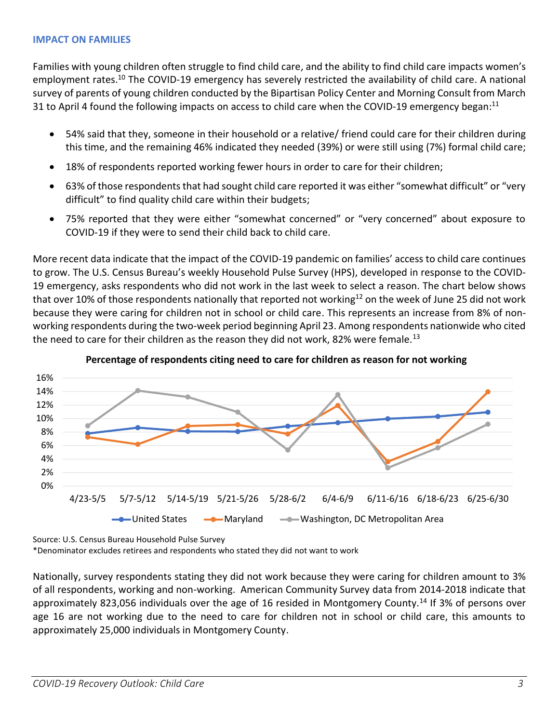# **IMPACT ON FAMILIES**

Families with young children often struggle to find child care, and the ability to find child care impacts women's employment rates.<sup>10</sup> The COVID-19 emergency has severely restricted the availability of child care. A national survey of parents of young children conducted by the Bipartisan Policy Center and Morning Consult from March 31 to April 4 found the following impacts on access to child care when the COVID-19 emergency began:<sup>11</sup>

- 54% said that they, someone in their household or a relative/ friend could care for their children during this time, and the remaining 46% indicated they needed (39%) or were still using (7%) formal child care;
- 18% of respondents reported working fewer hours in order to care for their children;
- 63% of those respondents that had sought child care reported it was either "somewhat difficult" or "very difficult" to find quality child care within their budgets;
- 75% reported that they were either "somewhat concerned" or "very concerned" about exposure to COVID-19 if they were to send their child back to child care.

More recent data indicate that the impact of the COVID-19 pandemic on families' access to child care continues to grow. The U.S. Census Bureau's weekly Household Pulse Survey (HPS), developed in response to the COVID-19 emergency, asks respondents who did not work in the last week to select a reason. The chart below shows that over 10% of those respondents nationally that reported not working<sup>12</sup> on the week of June 25 did not work because they were caring for children not in school or child care. This represents an increase from 8% of nonworking respondents during the two-week period beginning April 23. Among respondents nationwide who cited the need to care for their children as the reason they did not work, 82% were female.<sup>13</sup>





Source: U.S. Census Bureau Household Pulse Survey

\*Denominator excludes retirees and respondents who stated they did not want to work

Nationally, survey respondents stating they did not work because they were caring for children amount to 3% of all respondents, working and non-working. American Community Survey data from 2014-2018 indicate that approximately 823,056 individuals over the age of 16 resided in Montgomery County.<sup>14</sup> If 3% of persons over age 16 are not working due to the need to care for children not in school or child care, this amounts to approximately 25,000 individuals in Montgomery County.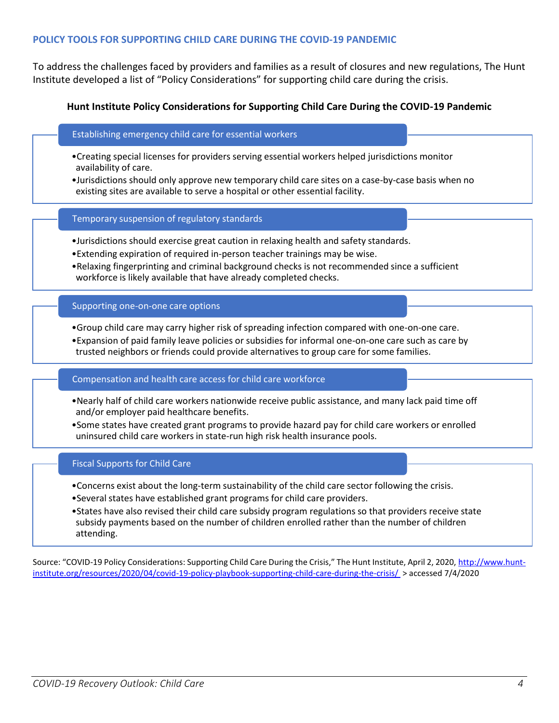# **POLICY TOOLS FOR SUPPORTING CHILD CARE DURING THE COVID-19 PANDEMIC**

To address the challenges faced by providers and families as a result of closures and new regulations, The Hunt Institute developed a list of "Policy Considerations" for supporting child care during the crisis.

## **Hunt Institute Policy Considerations for Supporting Child Care During the COVID-19 Pandemic**

#### Establishing emergency child care for essential workers

- •Creating special licenses for providers serving essential workers helped jurisdictions monitor availability of care.
- •Jurisdictions should only approve new temporary child care sites on a case-by-case basis when no existing sites are available to serve a hospital or other essential facility.

Temporary suspension of regulatory standards

- •Jurisdictions should exercise great caution in relaxing health and safety standards.
- •Extending expiration of required in-person teacher trainings may be wise.
- •Relaxing fingerprinting and criminal background checks is not recommended since a sufficient workforce is likely available that have already completed checks.

#### Supporting one-on-one care options

- •Group child care may carry higher risk of spreading infection compared with one-on-one care.
- •Expansion of paid family leave policies or subsidies for informal one-on-one care such as care by trusted neighbors or friends could provide alternatives to group care for some families.

#### Compensation and health care access for child care workforce

- •Nearly half of child care workers nationwide receive public assistance, and many lack paid time off and/or employer paid healthcare benefits.
- •Some states have created grant programs to provide hazard pay for child care workers or enrolled uninsured child care workers in state-run high risk health insurance pools.

#### Fiscal Supports for Child Care

- •Concerns exist about the long-term sustainability of the child care sector following the crisis.
- •Several states have established grant programs for child care providers.
- •States have also revised their child care subsidy program regulations so that providers receive state subsidy payments based on the number of children enrolled rather than the number of children attending.

Source: "COVID-19 Policy Considerations: Supporting Child Care During the Crisis," The Hunt Institute, April 2, 2020, [http://www.hunt](http://www.hunt-institute.org/resources/2020/04/covid-19-policy-playbook-supporting-child-care-during-the-crisis/)[institute.org/resources/2020/04/covid-19-policy-playbook-supporting-child-care-during-the-crisis/](http://www.hunt-institute.org/resources/2020/04/covid-19-policy-playbook-supporting-child-care-during-the-crisis/) > accessed 7/4/2020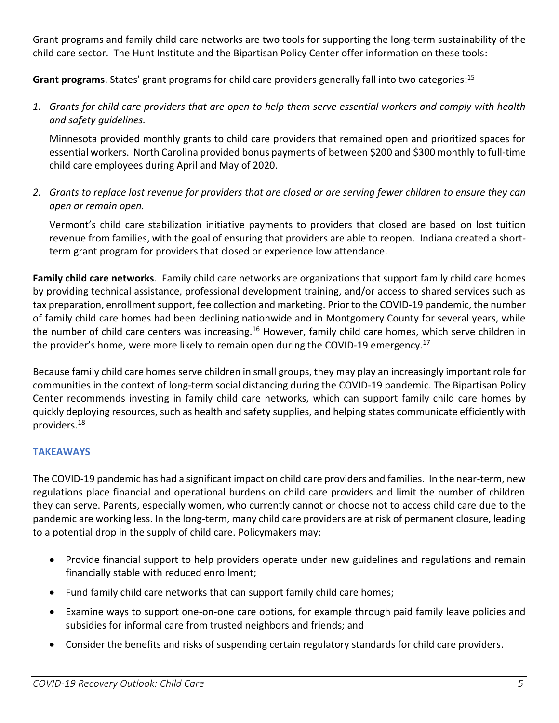Grant programs and family child care networks are two tools for supporting the long-term sustainability of the child care sector. The Hunt Institute and the Bipartisan Policy Center offer information on these tools:

**Grant programs**. States' grant programs for child care providers generally fall into two categories: 15

*1. Grants for child care providers that are open to help them serve essential workers and comply with health and safety guidelines.*

Minnesota provided monthly grants to child care providers that remained open and prioritized spaces for essential workers. North Carolina provided bonus payments of between \$200 and \$300 monthly to full-time child care employees during April and May of 2020.

*2. Grants to replace lost revenue for providers that are closed or are serving fewer children to ensure they can open or remain open.*

Vermont's child care stabilization initiative payments to providers that closed are based on lost tuition revenue from families, with the goal of ensuring that providers are able to reopen. Indiana created a shortterm grant program for providers that closed or experience low attendance.

**Family child care networks**. Family child care networks are organizations that support family child care homes by providing technical assistance, professional development training, and/or access to shared services such as tax preparation, enrollment support, fee collection and marketing. Prior to the COVID-19 pandemic, the number of family child care homes had been declining nationwide and in Montgomery County for several years, while the number of child care centers was increasing.<sup>16</sup> However, family child care homes, which serve children in the provider's home, were more likely to remain open during the COVID-19 emergency.<sup>17</sup>

Because family child care homes serve children in small groups, they may play an increasingly important role for communities in the context of long-term social distancing during the COVID-19 pandemic. The Bipartisan Policy Center recommends investing in family child care networks, which can support family child care homes by quickly deploying resources, such as health and safety supplies, and helping states communicate efficiently with providers. 18

# **TAKEAWAYS**

The COVID-19 pandemic has had a significant impact on child care providers and families. In the near-term, new regulations place financial and operational burdens on child care providers and limit the number of children they can serve. Parents, especially women, who currently cannot or choose not to access child care due to the pandemic are working less. In the long-term, many child care providers are at risk of permanent closure, leading to a potential drop in the supply of child care. Policymakers may:

- Provide financial support to help providers operate under new guidelines and regulations and remain financially stable with reduced enrollment;
- Fund family child care networks that can support family child care homes;
- Examine ways to support one-on-one care options, for example through paid family leave policies and subsidies for informal care from trusted neighbors and friends; and
- Consider the benefits and risks of suspending certain regulatory standards for child care providers.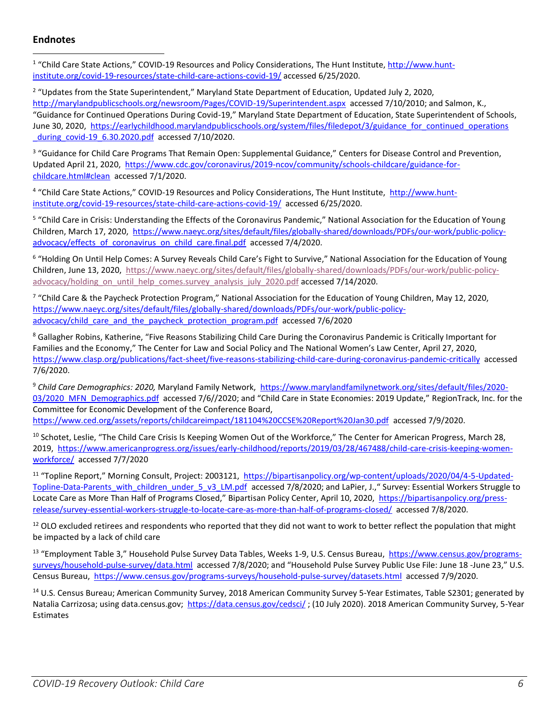# **Endnotes**

<sup>1</sup> "Child Care State Actions," COVID-19 Resources and Policy Considerations, The Hunt Institute, *[http://www.hunt](http://www.hunt-institute.org/covid-19-resources/state-child-care-actions-covid-19/)*[institute.org/covid-19-resources/state-child-care-actions-covid-19/](http://www.hunt-institute.org/covid-19-resources/state-child-care-actions-covid-19/) accessed 6/25/2020.

<sup>2</sup> "Updates from the State Superintendent," Maryland State Department of Education, Updated July 2, 2020, <http://marylandpublicschools.org/newsroom/Pages/COVID-19/Superintendent.aspx>accessed 7/10/2010; and Salmon, K., "Guidance for Continued Operations During Covid-19," Maryland State Department of Education, State Superintendent of Schools, June 30, 2020, [https://earlychildhood.marylandpublicschools.org/system/files/filedepot/3/guidance\\_for\\_continued\\_operations](https://earlychildhood.marylandpublicschools.org/system/files/filedepot/3/guidance_for_continued_operations_during_covid-19_6.30.2020.pdf) [\\_during\\_covid-19\\_6.30.2020.pdf](https://earlychildhood.marylandpublicschools.org/system/files/filedepot/3/guidance_for_continued_operations_during_covid-19_6.30.2020.pdf) accessed 7/10/2020.

<sup>3</sup> "Guidance for Child Care Programs That Remain Open: Supplemental Guidance," Centers for Disease Control and Prevention, Updated April 21, 2020, [https://www.cdc.gov/coronavirus/2019-ncov/community/schools-childcare/guidance-for](https://www.cdc.gov/coronavirus/2019-ncov/community/schools-childcare/guidance-for-childcare.html#clean)[childcare.html#clean](https://www.cdc.gov/coronavirus/2019-ncov/community/schools-childcare/guidance-for-childcare.html#clean) accessed 7/1/2020.

<sup>4</sup> "Child Care State Actions," COVID-19 Resources and Policy Considerations, The Hunt Institute, [http://www.hunt](http://www.hunt-institute.org/covid-19-resources/state-child-care-actions-covid-19/)[institute.org/covid-19-resources/state-child-care-actions-covid-19/](http://www.hunt-institute.org/covid-19-resources/state-child-care-actions-covid-19/) accessed 6/25/2020.

<sup>5</sup> "Child Care in Crisis: Understanding the Effects of the Coronavirus Pandemic," National Association for the Education of Young Children, March 17, 2020, [https://www.naeyc.org/sites/default/files/globally-shared/downloads/PDFs/our-work/public-policy](https://www.naeyc.org/sites/default/files/globally-shared/downloads/PDFs/our-work/public-policy-advocacy/effects_of_coronavirus_on_child_care.final.pdf)advocacy/effects of coronavirus on child care.final.pdf accessed 7/4/2020.

<sup>6</sup> "Holding On Until Help Comes: A Survey Reveals Child Care's Fight to Survive," National Association for the Education of Young Children, June 13, 2020, [https://www.naeyc.org/sites/default/files/globally-shared/downloads/PDFs/our-work/public-policy](https://www.naeyc.org/sites/default/files/globally-shared/downloads/PDFs/our-work/public-policy-advocacy/holding_on_until_help_comes.survey_analysis_july_2020.pdf)[advocacy/holding\\_on\\_until\\_help\\_comes.survey\\_analysis\\_july\\_2020.pdf](https://www.naeyc.org/sites/default/files/globally-shared/downloads/PDFs/our-work/public-policy-advocacy/holding_on_until_help_comes.survey_analysis_july_2020.pdf) accessed 7/14/2020.

<sup>7</sup> "Child Care & the Paycheck Protection Program," National Association for the Education of Young Children, May 12, 2020, [https://www.naeyc.org/sites/default/files/globally-shared/downloads/PDFs/our-work/public-policy](https://www.naeyc.org/sites/default/files/globally-shared/downloads/PDFs/our-work/public-policy-advocacy/child_care_and_the_paycheck_protection_program.pdf)[advocacy/child\\_care\\_and\\_the\\_paycheck\\_protection\\_program.pdf](https://www.naeyc.org/sites/default/files/globally-shared/downloads/PDFs/our-work/public-policy-advocacy/child_care_and_the_paycheck_protection_program.pdf) accessed 7/6/2020

<sup>8</sup> Gallagher Robins, Katherine, "Five Reasons Stabilizing Child Care During the Coronavirus Pandemic is Critically Important for Families and the Economy," The Center for Law and Social Policy and The National Women's Law Center, April 27, 2020, <https://www.clasp.org/publications/fact-sheet/five-reasons-stabilizing-child-care-during-coronavirus-pandemic-critically> accessed 7/6/2020.

<sup>9</sup> *Child Care Demographics: 2020,* Maryland Family Network, [https://www.marylandfamilynetwork.org/sites/default/files/2020-](https://www.marylandfamilynetwork.org/sites/default/files/2020-03/2020_MFN_Demographics.pdf) [03/2020\\_MFN\\_Demographics.pdf](https://www.marylandfamilynetwork.org/sites/default/files/2020-03/2020_MFN_Demographics.pdf) accessed 7/6//2020; and "Child Care in State Economies: 2019 Update," RegionTrack, Inc. for the Committee for Economic Development of the Conference Board,

<https://www.ced.org/assets/reports/childcareimpact/181104%20CCSE%20Report%20Jan30.pdf>accessed 7/9/2020.

<sup>10</sup> Schotet, Leslie, "The Child Care Crisis Is Keeping Women Out of the Workforce," The Center for American Progress, March 28, 2019, [https://www.americanprogress.org/issues/early-childhood/reports/2019/03/28/467488/child-care-crisis-keeping-women](https://www.americanprogress.org/issues/early-childhood/reports/2019/03/28/467488/child-care-crisis-keeping-women-workforce/)[workforce/](https://www.americanprogress.org/issues/early-childhood/reports/2019/03/28/467488/child-care-crisis-keeping-women-workforce/) accessed 7/7/2020

<sup>11</sup> "Topline Report," Morning Consult, Project: 2003121, [https://bipartisanpolicy.org/wp-content/uploads/2020/04/4-5-Updated-](https://bipartisanpolicy.org/wp-content/uploads/2020/04/4-5-Updated-Topline-Data-Parents_with_children_under_5_v3_LM.pdf)[Topline-Data-Parents\\_with\\_children\\_under\\_5\\_v3\\_LM.pdf](https://bipartisanpolicy.org/wp-content/uploads/2020/04/4-5-Updated-Topline-Data-Parents_with_children_under_5_v3_LM.pdf) accessed 7/8/2020; and LaPier, J.," Survey: Essential Workers Struggle to Locate Care as More Than Half of Programs Closed," Bipartisan Policy Center, April 10, 2020, [https://bipartisanpolicy.org/press](https://bipartisanpolicy.org/press-release/survey-essential-workers-struggle-to-locate-care-as-more-than-half-of-programs-closed/)[release/survey-essential-workers-struggle-to-locate-care-as-more-than-half-of-programs-closed/](https://bipartisanpolicy.org/press-release/survey-essential-workers-struggle-to-locate-care-as-more-than-half-of-programs-closed/) accessed 7/8/2020.

<sup>12</sup> OLO excluded retirees and respondents who reported that they did not want to work to better reflect the population that might be impacted by a lack of child care

<sup>13</sup> "Employment Table 3," Household Pulse Survey Data Tables, Weeks 1-9, U.S. Census Bureau, [https://www.census.gov/programs](https://www.census.gov/programs-surveys/household-pulse-survey/data.html)[surveys/household-pulse-survey/data.html](https://www.census.gov/programs-surveys/household-pulse-survey/data.html) accessed 7/8/2020; and "Household Pulse Survey Public Use File: June 18 -June 23," U.S. Census Bureau, <https://www.census.gov/programs-surveys/household-pulse-survey/datasets.html>accessed 7/9/2020.

<sup>14</sup> U.S. Census Bureau; American Community Survey, 2018 American Community Survey 5-Year Estimates, Table S2301; generated by Natalia Carrizosa; using data.census.gov;<https://data.census.gov/cedsci/> ; (10 July 2020). 2018 American Community Survey, 5-Year **Estimates**